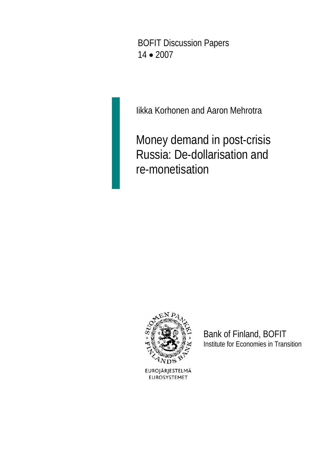BOFIT Discussion Papers <sup>14</sup>•<sup>2007</sup>

Iikka Korhonen and Aaron Mehrotra

 Money demand in post-crisis Russia: De-dollarisation and re-monetisation



Bank of Finland, BOFIT Institute for Economies in Transition

EUROJÄRJESTELMÄ **EUROSYSTEMET**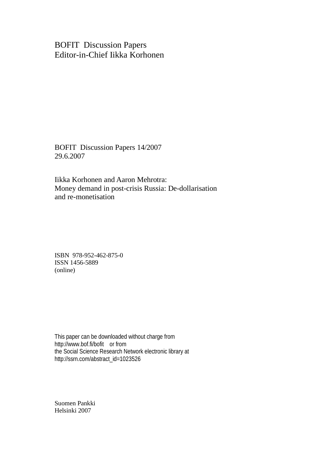BOFIT Discussion Papers Editor-in-Chief Iikka Korhonen

BOFIT Discussion Papers 14/2007 29.6.2007

Iikka Korhonen and Aaron Mehrotra: Money demand in post-crisis Russia: De-dollarisation and re-monetisation

ISBN 978-952-462-875-0 ISSN 1456-5889 (online)

This paper can be downloaded without charge from http://www.bof.fi/bofit or from the Social Science Research Network electronic library at http://ssrn.com/abstract\_id=1023526

Suomen Pankki Helsinki 2007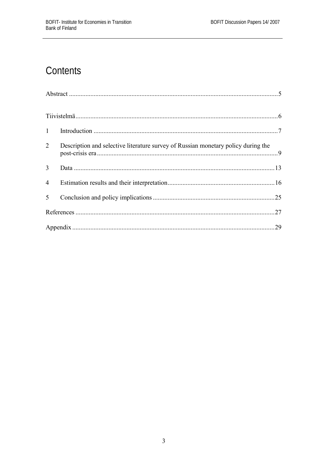# Contents

| $\mathbf{1}$   |                                                                                   |    |
|----------------|-----------------------------------------------------------------------------------|----|
| 2              | Description and selective literature survey of Russian monetary policy during the |    |
| 3              |                                                                                   |    |
| $\overline{4}$ |                                                                                   |    |
| 5              |                                                                                   |    |
|                |                                                                                   |    |
|                |                                                                                   | 29 |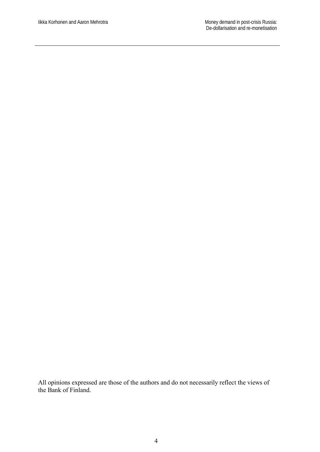All opinions expressed are those of the authors and do not necessarily reflect the views of the Bank of Finland.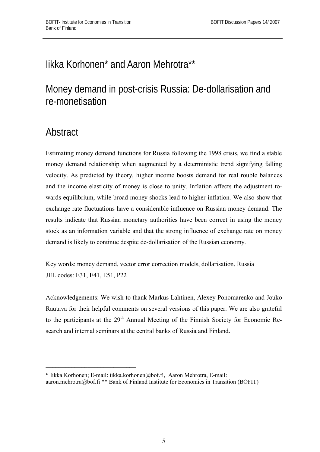# Iikka Korhonen\* and Aaron Mehrotra\*\*

# Money demand in post-crisis Russia: De-dollarisation and re-monetisation

# **Abstract**

Estimating money demand functions for Russia following the 1998 crisis, we find a stable money demand relationship when augmented by a deterministic trend signifying falling velocity. As predicted by theory, higher income boosts demand for real rouble balances and the income elasticity of money is close to unity. Inflation affects the adjustment towards equilibrium, while broad money shocks lead to higher inflation. We also show that exchange rate fluctuations have a considerable influence on Russian money demand. The results indicate that Russian monetary authorities have been correct in using the money stock as an information variable and that the strong influence of exchange rate on money demand is likely to continue despite de-dollarisation of the Russian economy.

Key words: money demand, vector error correction models, dollarisation, Russia JEL codes: E31, E41, E51, P22

Acknowledgements: We wish to thank Markus Lahtinen, Alexey Ponomarenko and Jouko Rautava for their helpful comments on several versions of this paper. We are also grateful to the participants at the 29<sup>th</sup> Annual Meeting of the Finnish Society for Economic Research and internal seminars at the central banks of Russia and Finland.

 $\overline{\phantom{a}}$  , where  $\overline{\phantom{a}}$  , where  $\overline{\phantom{a}}$  , where  $\overline{\phantom{a}}$ 

<sup>\*</sup> Iikka Korhonen; E-mail: iikka.korhonen@bof.fi, Aaron Mehrotra, E-mail: aaron.mehrotra@bof.fi \*\* Bank of Finland Institute for Economies in Transition (BOFIT)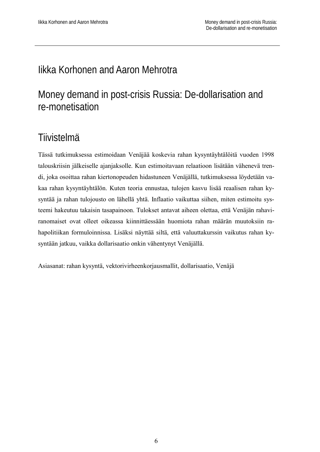## Iikka Korhonen and Aaron Mehrotra

# Money demand in post-crisis Russia: De-dollarisation and re-monetisation

## **Tiivistelmä**

Tässä tutkimuksessa estimoidaan Venäjää koskevia rahan kysyntäyhtälöitä vuoden 1998 talouskriisin jälkeiselle ajanjaksolle. Kun estimoitavaan relaatioon lisätään vähenevä trendi, joka osoittaa rahan kiertonopeuden hidastuneen Venäjällä, tutkimuksessa löydetään vakaa rahan kysyntäyhtälön. Kuten teoria ennustaa, tulojen kasvu lisää reaalisen rahan kysyntää ja rahan tulojousto on lähellä yhtä. Inflaatio vaikuttaa siihen, miten estimoitu systeemi hakeutuu takaisin tasapainoon. Tulokset antavat aiheen olettaa, että Venäjän rahaviranomaiset ovat olleet oikeassa kiinnittäessään huomiota rahan määrän muutoksiin rahapolitiikan formuloinnissa. Lisäksi näyttää siltä, että valuuttakurssin vaikutus rahan kysyntään jatkuu, vaikka dollarisaatio onkin vähentynyt Venäjällä.

Asiasanat: rahan kysyntä, vektorivirheenkorjausmallit, dollarisaatio, Venäjä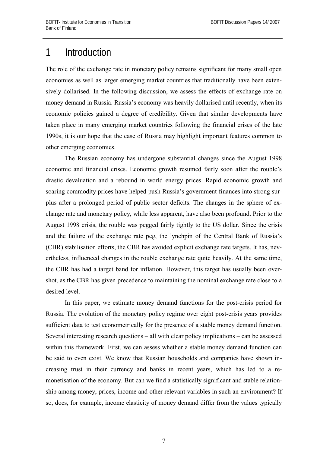## 1 Introduction

The role of the exchange rate in monetary policy remains significant for many small open economies as well as larger emerging market countries that traditionally have been extensively dollarised. In the following discussion, we assess the effects of exchange rate on money demand in Russia. Russia's economy was heavily dollarised until recently, when its economic policies gained a degree of credibility. Given that similar developments have taken place in many emerging market countries following the financial crises of the late 1990s, it is our hope that the case of Russia may highlight important features common to other emerging economies.

 The Russian economy has undergone substantial changes since the August 1998 economic and financial crises. Economic growth resumed fairly soon after the rouble's drastic devaluation and a rebound in world energy prices. Rapid economic growth and soaring commodity prices have helped push Russia's government finances into strong surplus after a prolonged period of public sector deficits. The changes in the sphere of exchange rate and monetary policy, while less apparent, have also been profound. Prior to the August 1998 crisis, the rouble was pegged fairly tightly to the US dollar. Since the crisis and the failure of the exchange rate peg, the lynchpin of the Central Bank of Russia's (CBR) stabilisation efforts, the CBR has avoided explicit exchange rate targets. It has, nevertheless, influenced changes in the rouble exchange rate quite heavily. At the same time, the CBR has had a target band for inflation. However, this target has usually been overshot, as the CBR has given precedence to maintaining the nominal exchange rate close to a desired level.

In this paper, we estimate money demand functions for the post-crisis period for Russia. The evolution of the monetary policy regime over eight post-crisis years provides sufficient data to test econometrically for the presence of a stable money demand function. Several interesting research questions – all with clear policy implications – can be assessed within this framework. First, we can assess whether a stable money demand function can be said to even exist. We know that Russian households and companies have shown increasing trust in their currency and banks in recent years, which has led to a remonetisation of the economy. But can we find a statistically significant and stable relationship among money, prices, income and other relevant variables in such an environment? If so, does, for example, income elasticity of money demand differ from the values typically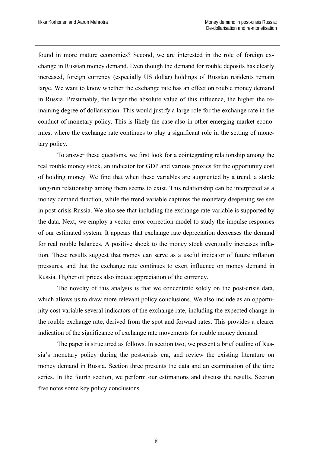found in more mature economies? Second, we are interested in the role of foreign exchange in Russian money demand. Even though the demand for rouble deposits has clearly increased, foreign currency (especially US dollar) holdings of Russian residents remain large. We want to know whether the exchange rate has an effect on rouble money demand in Russia. Presumably, the larger the absolute value of this influence, the higher the remaining degree of dollarisation. This would justify a large role for the exchange rate in the conduct of monetary policy. This is likely the case also in other emerging market economies, where the exchange rate continues to play a significant role in the setting of monetary policy.

To answer these questions, we first look for a cointegrating relationship among the real rouble money stock, an indicator for GDP and various proxies for the opportunity cost of holding money. We find that when these variables are augmented by a trend, a stable long-run relationship among them seems to exist. This relationship can be interpreted as a money demand function, while the trend variable captures the monetary deepening we see in post-crisis Russia. We also see that including the exchange rate variable is supported by the data. Next, we employ a vector error correction model to study the impulse responses of our estimated system. It appears that exchange rate depreciation decreases the demand for real rouble balances. A positive shock to the money stock eventually increases inflation. These results suggest that money can serve as a useful indicator of future inflation pressures, and that the exchange rate continues to exert influence on money demand in Russia. Higher oil prices also induce appreciation of the currency.

The novelty of this analysis is that we concentrate solely on the post-crisis data, which allows us to draw more relevant policy conclusions. We also include as an opportunity cost variable several indicators of the exchange rate, including the expected change in the rouble exchange rate, derived from the spot and forward rates. This provides a clearer indication of the significance of exchange rate movements for rouble money demand.

The paper is structured as follows. In section two, we present a brief outline of Russia's monetary policy during the post-crisis era, and review the existing literature on money demand in Russia. Section three presents the data and an examination of the time series. In the fourth section, we perform our estimations and discuss the results. Section five notes some key policy conclusions.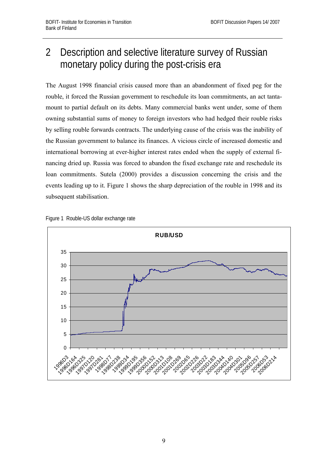# 2 Description and selective literature survey of Russian monetary policy during the post-crisis era

The August 1998 financial crisis caused more than an abandonment of fixed peg for the rouble, it forced the Russian government to reschedule its loan commitments, an act tantamount to partial default on its debts. Many commercial banks went under, some of them owning substantial sums of money to foreign investors who had hedged their rouble risks by selling rouble forwards contracts. The underlying cause of the crisis was the inability of the Russian government to balance its finances. A vicious circle of increased domestic and international borrowing at ever-higher interest rates ended when the supply of external financing dried up. Russia was forced to abandon the fixed exchange rate and reschedule its loan commitments. Sutela (2000) provides a discussion concerning the crisis and the events leading up to it. Figure 1 shows the sharp depreciation of the rouble in 1998 and its subsequent stabilisation.



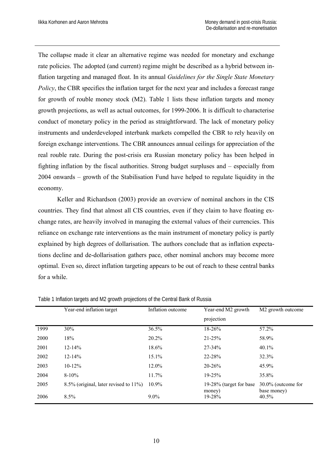The collapse made it clear an alternative regime was needed for monetary and exchange rate policies. The adopted (and current) regime might be described as a hybrid between inflation targeting and managed float. In its annual *Guidelines for the Single State Monetary Policy*, the CBR specifies the inflation target for the next year and includes a forecast range for growth of rouble money stock (M2). Table 1 lists these inflation targets and money growth projections, as well as actual outcomes, for 1999-2006. It is difficult to characterise conduct of monetary policy in the period as straightforward. The lack of monetary policy instruments and underdeveloped interbank markets compelled the CBR to rely heavily on foreign exchange interventions. The CBR announces annual ceilings for appreciation of the real rouble rate. During the post-crisis era Russian monetary policy has been helped in fighting inflation by the fiscal authorities. Strong budget surpluses and – especially from 2004 onwards – growth of the Stabilisation Fund have helped to regulate liquidity in the economy.

Keller and Richardson (2003) provide an overview of nominal anchors in the CIS countries. They find that almost all CIS countries, even if they claim to have floating exchange rates, are heavily involved in managing the external values of their currencies. This reliance on exchange rate interventions as the main instrument of monetary policy is partly explained by high degrees of dollarisation. The authors conclude that as inflation expectations decline and de-dollarisation gathers pace, other nominal anchors may become more optimal. Even so, direct inflation targeting appears to be out of reach to these central banks for a while.

|      | Year-end inflation target                    | Inflation outcome | Year-end M2 growth                 | M <sub>2</sub> growth outcome     |
|------|----------------------------------------------|-------------------|------------------------------------|-----------------------------------|
|      |                                              |                   | projection                         |                                   |
| 1999 | 30%                                          | 36.5%             | 18-26%                             | 57.2%                             |
| 2000 | 18%                                          | 20.2%             | $21 - 25%$                         | 58.9%                             |
| 2001 | $12 - 14%$                                   | 18.6%             | 27-34%                             | $40.1\%$                          |
| 2002 | $12 - 14\%$                                  | 15.1%             | 22-28%                             | 32.3%                             |
| 2003 | $10-12%$                                     | $12.0\%$          | $20 - 26%$                         | 45.9%                             |
| 2004 | $8-10%$                                      | 11.7%             | $19 - 25%$                         | 35.8%                             |
| 2005 | $8.5\%$ (original, later revised to $11\%$ ) | 10.9%             | 19-28% (target for base)<br>money) | 30.0% (outcome for<br>base money) |
| 2006 | 8.5%                                         | $9.0\%$           | 19-28%                             | 40.5%                             |

Table 1 Inflation targets and M2 growth projections of the Central Bank of Russia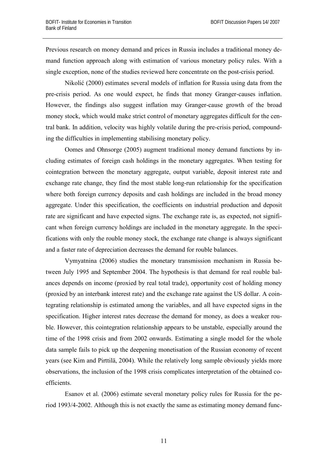Previous research on money demand and prices in Russia includes a traditional money demand function approach along with estimation of various monetary policy rules. With a single exception, none of the studies reviewed here concentrate on the post-crisis period.

Nikolić (2000) estimates several models of inflation for Russia using data from the pre-crisis period. As one would expect, he finds that money Granger-causes inflation. However, the findings also suggest inflation may Granger-cause growth of the broad money stock, which would make strict control of monetary aggregates difficult for the central bank. In addition, velocity was highly volatile during the pre-crisis period, compounding the difficulties in implementing stabilising monetary policy.

Oomes and Ohnsorge (2005) augment traditional money demand functions by including estimates of foreign cash holdings in the monetary aggregates. When testing for cointegration between the monetary aggregate, output variable, deposit interest rate and exchange rate change, they find the most stable long-run relationship for the specification where both foreign currency deposits and cash holdings are included in the broad money aggregate. Under this specification, the coefficients on industrial production and deposit rate are significant and have expected signs. The exchange rate is, as expected, not significant when foreign currency holdings are included in the monetary aggregate. In the specifications with only the rouble money stock, the exchange rate change is always significant and a faster rate of depreciation decreases the demand for rouble balances.

Vymyatnina (2006) studies the monetary transmission mechanism in Russia between July 1995 and September 2004. The hypothesis is that demand for real rouble balances depends on income (proxied by real total trade), opportunity cost of holding money (proxied by an interbank interest rate) and the exchange rate against the US dollar. A cointegrating relationship is estimated among the variables, and all have expected signs in the specification. Higher interest rates decrease the demand for money, as does a weaker rouble. However, this cointegration relationship appears to be unstable, especially around the time of the 1998 crisis and from 2002 onwards. Estimating a single model for the whole data sample fails to pick up the deepening monetisation of the Russian economy of recent years (see Kim and Pirttilä, 2004). While the relatively long sample obviously yields more observations, the inclusion of the 1998 crisis complicates interpretation of the obtained coefficients.

Esanov et al. (2006) estimate several monetary policy rules for Russia for the period 1993/4-2002. Although this is not exactly the same as estimating money demand func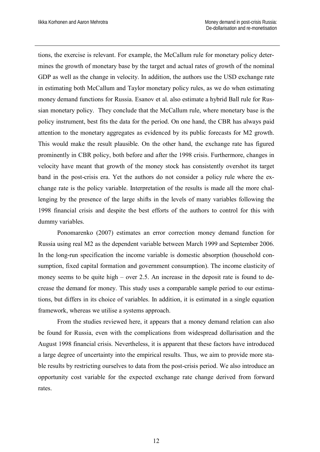tions, the exercise is relevant. For example, the McCallum rule for monetary policy determines the growth of monetary base by the target and actual rates of growth of the nominal GDP as well as the change in velocity. In addition, the authors use the USD exchange rate in estimating both McCallum and Taylor monetary policy rules, as we do when estimating money demand functions for Russia. Esanov et al. also estimate a hybrid Ball rule for Russian monetary policy. They conclude that the McCallum rule, where monetary base is the policy instrument, best fits the data for the period. On one hand, the CBR has always paid attention to the monetary aggregates as evidenced by its public forecasts for M2 growth. This would make the result plausible. On the other hand, the exchange rate has figured prominently in CBR policy, both before and after the 1998 crisis. Furthermore, changes in velocity have meant that growth of the money stock has consistently overshot its target band in the post-crisis era. Yet the authors do not consider a policy rule where the exchange rate is the policy variable. Interpretation of the results is made all the more challenging by the presence of the large shifts in the levels of many variables following the 1998 financial crisis and despite the best efforts of the authors to control for this with dummy variables.

Ponomarenko (2007) estimates an error correction money demand function for Russia using real M2 as the dependent variable between March 1999 and September 2006. In the long-run specification the income variable is domestic absorption (household consumption, fixed capital formation and government consumption). The income elasticity of money seems to be quite high – over 2.5. An increase in the deposit rate is found to decrease the demand for money. This study uses a comparable sample period to our estimations, but differs in its choice of variables. In addition, it is estimated in a single equation framework, whereas we utilise a systems approach.

From the studies reviewed here, it appears that a money demand relation can also be found for Russia, even with the complications from widespread dollarisation and the August 1998 financial crisis. Nevertheless, it is apparent that these factors have introduced a large degree of uncertainty into the empirical results. Thus, we aim to provide more stable results by restricting ourselves to data from the post-crisis period. We also introduce an opportunity cost variable for the expected exchange rate change derived from forward rates.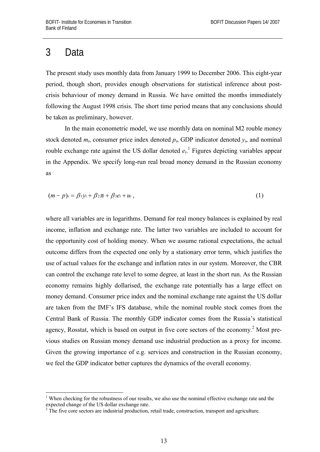#### 3 Data

1

The present study uses monthly data from January 1999 to December 2006. This eight-year period, though short, provides enough observations for statistical inference about postcrisis behaviour of money demand in Russia. We have omitted the months immediately following the August 1998 crisis. The short time period means that any conclusions should be taken as preliminary, however.

In the main econometric model, we use monthly data on nominal M2 rouble money stock denoted  $m_t$ , consumer price index denoted  $p_t$ , GDP indicator denoted  $y_t$ , and nominal rouble exchange rate against the US dollar denoted  $e_t$ .<sup>1</sup> Figures depicting variables appear in the Appendix. We specify long-run real broad money demand in the Russian economy as

$$
(m-p)_t = \beta_1 y_t + \beta_2 \pi_t + \beta_3 e_t + u_t, \qquad (1)
$$

where all variables are in logarithms. Demand for real money balances is explained by real income, inflation and exchange rate. The latter two variables are included to account for the opportunity cost of holding money. When we assume rational expectations, the actual outcome differs from the expected one only by a stationary error term, which justifies the use of actual values for the exchange and inflation rates in our system. Moreover, the CBR can control the exchange rate level to some degree, at least in the short run. As the Russian economy remains highly dollarised, the exchange rate potentially has a large effect on money demand. Consumer price index and the nominal exchange rate against the US dollar are taken from the IMF's IFS database, while the nominal rouble stock comes from the Central Bank of Russia. The monthly GDP indicator comes from the Russia's statistical agency, Rosstat, which is based on output in five core sectors of the economy.<sup>2</sup> Most previous studies on Russian money demand use industrial production as a proxy for income. Given the growing importance of e.g. services and construction in the Russian economy, we feel the GDP indicator better captures the dynamics of the overall economy.

<sup>&</sup>lt;sup>1</sup> When checking for the robustness of our results, we also use the nominal effective exchange rate and the expected change of the US dollar exchange rate.

 $2$  The five core sectors are industrial production, retail trade, construction, transport and agriculture.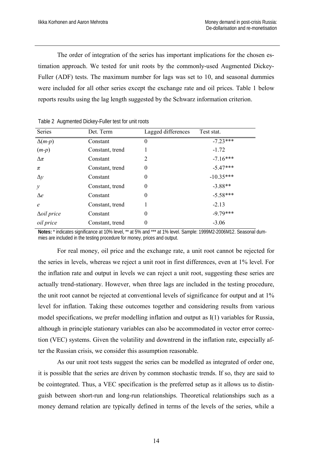The order of integration of the series has important implications for the chosen estimation approach. We tested for unit roots by the commonly-used Augmented Dickey-Fuller (ADF) tests. The maximum number for lags was set to 10, and seasonal dummies were included for all other series except the exchange rate and oil prices. Table 1 below reports results using the lag length suggested by the Schwarz information criterion.

| Series             | Det. Term       | Lagged differences | Test stat.  |
|--------------------|-----------------|--------------------|-------------|
| $\Delta(m-p)$      | Constant        | 0                  | $-7.23***$  |
| $(m-p)$            | Constant, trend |                    | $-1.72$     |
| $\Delta \pi$       | Constant        | 2                  | $-7.16***$  |
| $\pi$              | Constant, trend | $\theta$           | $-5.47***$  |
| $\Delta y$         | Constant        | $\theta$           | $-10.35***$ |
| $\mathcal{Y}$      | Constant, trend | $\theta$           | $-3.88**$   |
| $\Delta e$         | Constant        | $\theta$           | $-5.58***$  |
| $\epsilon$         | Constant, trend |                    | $-2.13$     |
| $\Delta$ oil price | Constant        | $\theta$           | $-9.79***$  |
| oil price          | Constant, trend | 0                  | $-3.06$     |

Table 2 Augmented Dickey-Fuller test for unit roots

**Notes:** \* indicates significance at 10% level, \*\* at 5% and \*\*\* at 1% level. Sample: 1999M2-2006M12. Seasonal dummies are included in the testing procedure for money, prices and output.

For real money, oil price and the exchange rate, a unit root cannot be rejected for the series in levels, whereas we reject a unit root in first differences, even at 1% level. For the inflation rate and output in levels we can reject a unit root, suggesting these series are actually trend-stationary. However, when three lags are included in the testing procedure, the unit root cannot be rejected at conventional levels of significance for output and at 1% level for inflation. Taking these outcomes together and considering results from various model specifications, we prefer modelling inflation and output as I(1) variables for Russia, although in principle stationary variables can also be accommodated in vector error correction (VEC) systems. Given the volatility and downtrend in the inflation rate, especially after the Russian crisis, we consider this assumption reasonable.

As our unit root tests suggest the series can be modelled as integrated of order one, it is possible that the series are driven by common stochastic trends. If so, they are said to be cointegrated. Thus, a VEC specification is the preferred setup as it allows us to distinguish between short-run and long-run relationships. Theoretical relationships such as a money demand relation are typically defined in terms of the levels of the series, while a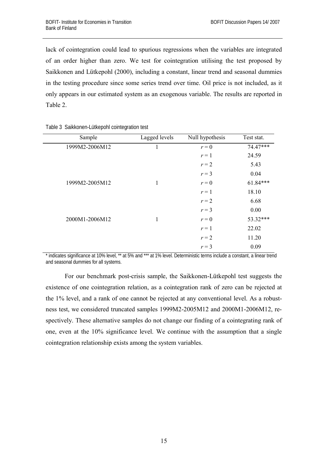lack of cointegration could lead to spurious regressions when the variables are integrated of an order higher than zero. We test for cointegration utilising the test proposed by Saikkonen and Lütkepohl (2000), including a constant, linear trend and seasonal dummies in the testing procedure since some series trend over time. Oil price is not included, as it only appears in our estimated system as an exogenous variable. The results are reported in Table 2.

| Sample         | Lagged levels | Null hypothesis | Test stat. |
|----------------|---------------|-----------------|------------|
| 1999M2-2006M12 | 1             | $r = 0$         | 74.47***   |
|                |               | $r=1$           | 24.59      |
|                |               | $r=2$           | 5.43       |
|                |               | $r = 3$         | 0.04       |
| 1999M2-2005M12 | 1             | $r = 0$         | $61.84***$ |
|                |               | $r=1$           | 18.10      |
|                |               | $r=2$           | 6.68       |
|                |               | $r = 3$         | 0.00       |
| 2000M1-2006M12 | 1             | $r = 0$         | 53.32***   |
|                |               | $r=1$           | 22.02      |
|                |               | $r=2$           | 11.20      |
|                |               | $r = 3$         | 0.09       |
|                |               |                 |            |

Table 3 Saikkonen-Lütkepohl cointegration test

\* indicates significance at 10% level, \*\* at 5% and \*\*\* at 1% level. Deterministic terms include a constant, a linear trend and seasonal dummies for all systems.

For our benchmark post-crisis sample, the Saikkonen-Lütkepohl test suggests the existence of one cointegration relation, as a cointegration rank of zero can be rejected at the 1% level, and a rank of one cannot be rejected at any conventional level. As a robustness test, we considered truncated samples 1999M2-2005M12 and 2000M1-2006M12, respectively. These alternative samples do not change our finding of a cointegrating rank of one, even at the 10% significance level. We continue with the assumption that a single cointegration relationship exists among the system variables.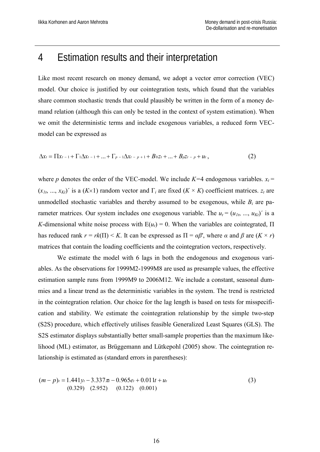#### 4 Estimation results and their interpretation

Like most recent research on money demand, we adopt a vector error correction (VEC) model. Our choice is justified by our cointegration tests, which found that the variables share common stochastic trends that could plausibly be written in the form of a money demand relation (although this can only be tested in the context of system estimation). When we omit the deterministic terms and include exogenous variables, a reduced form VECmodel can be expressed as

$$
\Delta x_t = \Pi x_{t-1} + \Gamma_1 \Delta x_{t-1} + ... + \Gamma_{p-1} \Delta x_{t-p+1} + B_0 z_t + ... + B_p z_{t-p} + u_t,
$$
\n(2)

where *p* denotes the order of the VEC-model. We include  $K=4$  endogenous variables.  $x_t =$  $(x_{1t}, ..., x_{Kt})'$  is a  $(K \times 1)$  random vector and  $\Gamma_i$  are fixed  $(K \times K)$  coefficient matrices.  $z_t$  are unmodelled stochastic variables and thereby assumed to be exogenous, while  $B_i$  are parameter matrices. Our system includes one exogenous variable. The  $u_t = (u_{1t}, ..., u_{Kt})'$  is a *K*-dimensional white noise process with  $E(u_t) = 0$ . When the variables are cointegrated,  $\Pi$ has reduced rank  $r = rk(\Pi) \le K$ . It can be expressed as  $\Pi = \alpha \beta'$ , where  $\alpha$  and  $\beta$  are  $(K \times r)$ matrices that contain the loading coefficients and the cointegration vectors, respectively.

We estimate the model with 6 lags in both the endogenous and exogenous variables. As the observations for 1999M2-1999M8 are used as presample values, the effective estimation sample runs from 1999M9 to 2006M12. We include a constant, seasonal dummies and a linear trend as the deterministic variables in the system. The trend is restricted in the cointegration relation. Our choice for the lag length is based on tests for misspecification and stability. We estimate the cointegration relationship by the simple two-step (S2S) procedure, which effectively utilises feasible Generalized Least Squares (GLS). The S2S estimator displays substantially better small-sample properties than the maximum likelihood (ML) estimator, as Brüggemann and Lütkepohl (2005) show. The cointegration relationship is estimated as (standard errors in parentheses):

$$
(m-p)t = 1.441yt - 3.337\pi - 0.965et + 0.011t + ut
$$
  
(0.329) (2.952) (0.122) (0.001)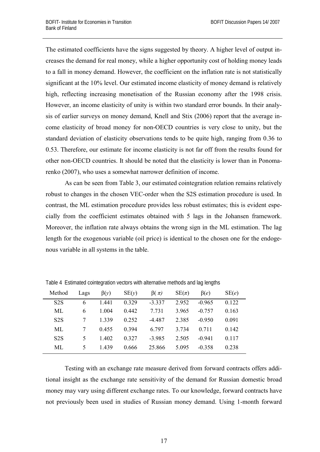The estimated coefficients have the signs suggested by theory. A higher level of output increases the demand for real money, while a higher opportunity cost of holding money leads to a fall in money demand. However, the coefficient on the inflation rate is not statistically significant at the 10% level. Our estimated income elasticity of money demand is relatively high, reflecting increasing monetisation of the Russian economy after the 1998 crisis. However, an income elasticity of unity is within two standard error bounds. In their analysis of earlier surveys on money demand, Knell and Stix (2006) report that the average income elasticity of broad money for non-OECD countries is very close to unity, but the standard deviation of elasticity observations tends to be quite high, ranging from 0.36 to 0.53. Therefore, our estimate for income elasticity is not far off from the results found for other non-OECD countries. It should be noted that the elasticity is lower than in Ponomarenko (2007), who uses a somewhat narrower definition of income.

As can be seen from Table 3, our estimated cointegration relation remains relatively robust to changes in the chosen VEC-order when the S2S estimation procedure is used. In contrast, the ML estimation procedure provides less robust estimates; this is evident especially from the coefficient estimates obtained with 5 lags in the Johansen framework. Moreover, the inflation rate always obtains the wrong sign in the ML estimation. The lag length for the exogenous variable (oil price) is identical to the chosen one for the endogenous variable in all systems in the table.

| Method           | Lags                     | $\beta(y)$ | SE(y)   | $\beta(\pi)$ | $SE(\pi)$ | $\beta(e)$ | SE(e) |
|------------------|--------------------------|------------|---------|--------------|-----------|------------|-------|
| S <sub>2</sub> S | 6                        | 1441       | 0.329   | $-3.337$     | 2952      | $-0.965$   | 0.122 |
| ML               | 6                        | 1 004      | 0.442   | 7.731        | 3 965     | $-0.757$   | 0.163 |
| S <sub>2</sub> S |                          | 1 3 3 9    | 0.252   | $-4.487$     | 2.385     | $-0.950$   | 0.091 |
| ML               |                          | 0.455      | 0 3 9 4 | 6.797        | 3 7 3 4   | 0.711      | 0.142 |
| S <sub>2</sub> S | 5                        | 1402       | 0.327   | $-3.985$     | 2.505     | $-0.941$   | 0.117 |
| ML               | $\overline{\mathcal{L}}$ | 1439       | 0.666   | 25.866       | 5 0 9 5   | $-0.358$   | 0.238 |

Table 4 Estimated cointegration vectors with alternative methods and lag lengths

Testing with an exchange rate measure derived from forward contracts offers additional insight as the exchange rate sensitivity of the demand for Russian domestic broad money may vary using different exchange rates. To our knowledge, forward contracts have not previously been used in studies of Russian money demand. Using 1-month forward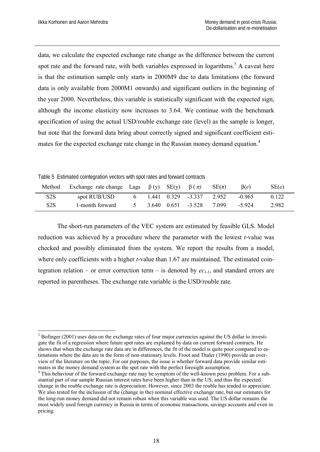data, we calculate the expected exchange rate change as the difference between the current spot rate and the forward rate, with both variables expressed in logarithms.<sup>3</sup> A caveat here is that the estimation sample only starts in 2000M9 due to data limitations (the forward data is only available from 2000M1 onwards) and significant outliers in the beginning of the year 2000. Nevertheless, this variable is statistically significant with the expected sign, although the income elasticity now increases to 3.64. We continue with the benchmark specification of using the actual USD/rouble exchange rate (level) as the sample is longer, but note that the forward data bring about correctly signed and significant coefficient estimates for the expected exchange rate change in the Russian money demand equation.<sup>4</sup>

Table 5 Estimated cointegration vectors with spot rates and forward contracts

| Method           | Exchange rate change Lags $\beta(y)$ SE(y) $\beta(\pi)$ |  |                            | $SE(\pi)$ | $\beta(e)$ | SE(e) |
|------------------|---------------------------------------------------------|--|----------------------------|-----------|------------|-------|
| S2S              | spot RUB/USD                                            |  | 6 1.441 0.329 -3.337 2.952 |           | $-0.965$   | 0.122 |
| S <sub>2</sub> S | 1-month forward                                         |  | 5 3.640 0.651 -3.528       | 7.099     | -5.924     | 2.982 |

The short-run parameters of the VEC system are estimated by feasible GLS. Model reduction was achieved by a procedure where the parameter with the lowest *t*-value was checked and possibly eliminated from the system. We report the results from a model, where only coefficients with a higher *t*-value than 1.67 are maintained. The estimated cointegration relation – or error correction term – is denoted by  $ec_{t-1}$ , and standard errors are reported in parentheses. The exchange rate variable is the USD/rouble rate.

<sup>1</sup> <sup>3</sup> Bofinger (2001) uses data on the exchange rates of four major currencies against the US dollar to investigate the fit of a regression where future spot rates are explained by data on current forward contracts. He shows that when the exchange rate data are in differences, the fit of the model is quite poor compared to estimations where the data are in the form of non-stationary levels. Froot and Thaler (1990) provide an overview of the literature on the topic. For our purposes, the issue is whether forward data provide similar estimates in the money demand system as the spot rate with the perfect foresight assumption.

<sup>&</sup>lt;sup>4</sup> This behaviour of the forward exchange rate may be symptom of the well-known peso problem. For a substantial part of our sample Russian interest rates have been higher than in the US, and thus the expected change in the rouble exchange rate is depreciation. However, since 2003 the rouble has tended to appreciate. We also tested for the inclusion of the (change in the) nominal effective exchange rate, but our estimates for the long-run money demand did not remain robust when this variable was used. The US dollar remains the most widely used foreign currency in Russia in terms of economic transactions, savings accounts and even in pricing.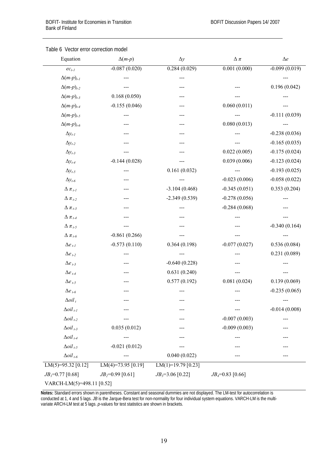| Equation                       | $\Delta(m-p)$      | $\Delta y$             | $\Delta$ $\pi$     | $\Delta e$      |
|--------------------------------|--------------------|------------------------|--------------------|-----------------|
| $ec_{t-l}$                     | $-0.087(0.020)$    | 0.284(0.029)           | 0.001(0.000)       | $-0.099(0.019)$ |
| $\Delta(m-p)_{t-l}$            |                    |                        |                    |                 |
| $\Delta(m-p)_{t-2}$            |                    |                        |                    | 0.196(0.042)    |
| $\Delta(m-p)_{t-3}$            | 0.168(0.050)       |                        |                    |                 |
| $\Delta(m-p)_{t-4}$            | $-0.155(0.046)$    |                        | 0.060(0.011)       |                 |
| $\Delta(m-p)_{t-5}$            |                    |                        |                    | $-0.111(0.039)$ |
| $\Delta(m-p)_{t-6}$            |                    |                        | 0.080(0.013)       |                 |
| $\Delta y_{t-l}$               |                    |                        |                    | $-0.238(0.036)$ |
| $\Delta y_{t-2}$               |                    |                        |                    | $-0.165(0.035)$ |
| $\Delta y_{t-3}$               |                    |                        | 0.022(0.005)       | $-0.175(0.024)$ |
| $\Delta y_{t-4}$               | $-0.144(0.028)$    |                        | 0.039(0.006)       | $-0.123(0.024)$ |
| $\Delta y_{t-5}$               |                    | 0.161(0.032)           |                    | $-0.193(0.025)$ |
| $\Delta y_{t-6}$               |                    |                        | $-0.023(0.006)$    | $-0.058(0.022)$ |
| $\Delta \pi_{t-l}$             |                    | $-3.104(0.468)$        | $-0.345(0.051)$    | 0.353(0.204)    |
| $\Delta \pi_{t-2}$             |                    | $-2.349(0.539)$        | $-0.278(0.056)$    |                 |
| $\Delta \pi_{t-3}$             |                    |                        | $-0.284(0.068)$    |                 |
| $\Delta \pi_{t-4}$             |                    |                        |                    |                 |
| $\Delta \pi_{t-5}$             |                    |                        |                    | $-0.340(0.164)$ |
| $\Delta \pi_{t-6}$             | $-0.861(0.266)$    |                        |                    |                 |
| $\Delta e_{t-l}$               | $-0.573(0.110)$    | 0.364(0.198)           | $-0.077(0.027)$    | 0.536(0.084)    |
| $\Delta e_{t-2}$               |                    |                        |                    | 0.231(0.089)    |
| $\Delta e$ <sub>t-3</sub>      |                    | $-0.640(0.228)$        |                    |                 |
| $\Delta e$ <sub>t-4</sub>      |                    | 0.631(0.240)           |                    |                 |
| $\Delta e$ <sub>t-5</sub>      |                    | 0.577(0.192)           | 0.081(0.024)       | 0.139(0.069)    |
| $\Delta e$ t-6                 |                    |                        |                    | $-0.235(0.065)$ |
| $\Delta$ oil <sub>t</sub>      |                    |                        |                    |                 |
| $\Delta$ oil <sub>t-1</sub>    |                    |                        |                    | $-0.014(0.008)$ |
| $\Delta$ oil <sub>t-2</sub>    |                    |                        | $-0.007(0.003)$    |                 |
| $\Delta$ oil <sub>t-3</sub>    | 0.035(0.012)       |                        | $-0.009(0.003)$    |                 |
| $\Delta$ oil <sub>t-4</sub>    |                    |                        |                    |                 |
| $\Delta oil_{t-5}$             | $-0.021(0.012)$    |                        |                    |                 |
| $\Delta$ oil <sub>t-6</sub>    | ---                | 0.040(0.022)           |                    | ---             |
| $LM(5)=95.32 [0.12]$           | LM(4)=73.95 [0.19] | LM $(1)=$ 19.79 [0.23] |                    |                 |
| $JB$ <sub>I</sub> =0.77 [0.68] | $JB_2=0.99$ [0.61] | $JB_3=3.06$ [0.22]     | $JB_4=0.83$ [0.66] |                 |
| VARCH-LM(5)=498.11 [0.52]      |                    |                        |                    |                 |

#### Table 6 Vector error correction model

**Notes:** Standard errors shown in parentheses. Constant and seasonal dummies are not displayed. The LM-test for autocorrelation is conducted at 1, 4 and 5 lags. *JB* is the Jarque-Bera test for non-normality for four individual system equations. VARCH-LM is the multivariate ARCH-LM test at 5 lags. *p*-values for test statistics are shown in brackets.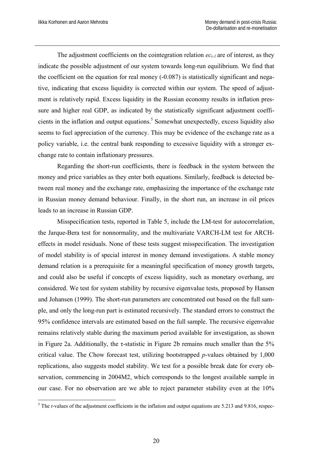The adjustment coefficients on the cointegration relation  $ec_{t-1}$  are of interest, as they indicate the possible adjustment of our system towards long-run equilibrium. We find that the coefficient on the equation for real money  $(-0.087)$  is statistically significant and negative, indicating that excess liquidity is corrected within our system. The speed of adjustment is relatively rapid. Excess liquidity in the Russian economy results in inflation pressure and higher real GDP, as indicated by the statistically significant adjustment coefficients in the inflation and output equations.<sup>5</sup> Somewhat unexpectedly, excess liquidity also seems to fuel appreciation of the currency. This may be evidence of the exchange rate as a policy variable, i.e. the central bank responding to excessive liquidity with a stronger exchange rate to contain inflationary pressures.

Regarding the short-run coefficients, there is feedback in the system between the money and price variables as they enter both equations. Similarly, feedback is detected between real money and the exchange rate, emphasizing the importance of the exchange rate in Russian money demand behaviour. Finally, in the short run, an increase in oil prices leads to an increase in Russian GDP.

Misspecification tests, reported in Table 5, include the LM-test for autocorrelation, the Jarque-Bera test for nonnormality, and the multivariate VARCH-LM test for ARCHeffects in model residuals. None of these tests suggest misspecification. The investigation of model stability is of special interest in money demand investigations. A stable money demand relation is a prerequisite for a meaningful specification of money growth targets, and could also be useful if concepts of excess liquidity, such as monetary overhang, are considered. We test for system stability by recursive eigenvalue tests, proposed by Hansen and Johansen (1999). The short-run parameters are concentrated out based on the full sample, and only the long-run part is estimated recursively. The standard errors to construct the 95% confidence intervals are estimated based on the full sample. The recursive eigenvalue remains relatively stable during the maximum period available for investigation, as shown in Figure 2a. Additionally, the  $\tau$ -statistic in Figure 2b remains much smaller than the 5% critical value. The Chow forecast test, utilizing bootstrapped *p*-values obtained by 1,000 replications, also suggests model stability. We test for a possible break date for every observation, commencing in 2004M2, which corresponds to the longest available sample in our case. For no observation are we able to reject parameter stability even at the 10%

<sup>&</sup>lt;sup>5</sup>The *t*-values of the adjustment coefficients in the inflation and output equations are 5.213 and 9.816, respec-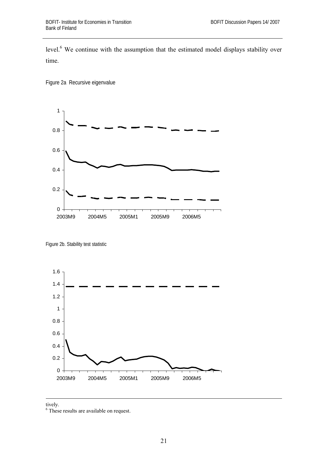level.<sup>6</sup> We continue with the assumption that the estimated model displays stability over time.

Figure 2a Recursive eigenvalue



Figure 2b. Stability test statistic





6 These results are available on request.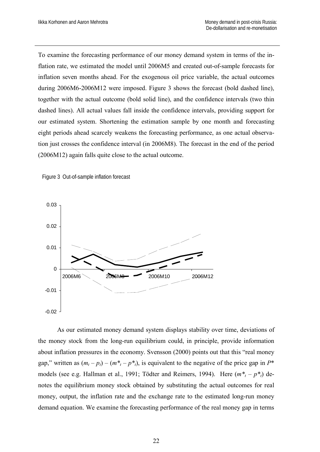To examine the forecasting performance of our money demand system in terms of the inflation rate, we estimated the model until 2006M5 and created out-of-sample forecasts for inflation seven months ahead. For the exogenous oil price variable, the actual outcomes during 2006M6-2006M12 were imposed. Figure 3 shows the forecast (bold dashed line), together with the actual outcome (bold solid line), and the confidence intervals (two thin dashed lines). All actual values fall inside the confidence intervals, providing support for our estimated system. Shortening the estimation sample by one month and forecasting eight periods ahead scarcely weakens the forecasting performance, as one actual observation just crosses the confidence interval (in 2006M8). The forecast in the end of the period (2006M12) again falls quite close to the actual outcome.





As our estimated money demand system displays stability over time, deviations of the money stock from the long-run equilibrium could, in principle, provide information about inflation pressures in the economy. Svensson (2000) points out that this "real money gap," written as  $(m_t - p_t) - (m_t^* - p_t^*)$ , is equivalent to the negative of the price gap in  $P^*$ models (see e.g. Hallman et al., 1991; Tödter and Reimers, 1994). Here  $(m^* - p^*)$  denotes the equilibrium money stock obtained by substituting the actual outcomes for real money, output, the inflation rate and the exchange rate to the estimated long-run money demand equation. We examine the forecasting performance of the real money gap in terms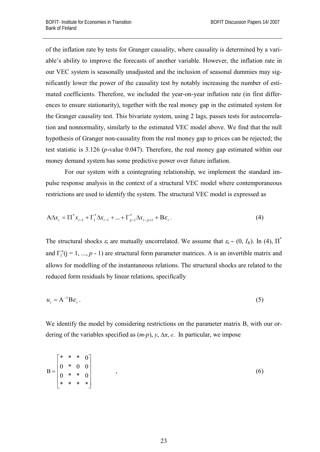of the inflation rate by tests for Granger causality, where causality is determined by a variable's ability to improve the forecasts of another variable. However, the inflation rate in our VEC system is seasonally unadjusted and the inclusion of seasonal dummies may significantly lower the power of the causality test by notably increasing the number of estimated coefficients. Therefore, we included the year-on-year inflation rate (in first differences to ensure stationarity), together with the real money gap in the estimated system for the Granger causality test. This bivariate system, using 2 lags, passes tests for autocorrelation and nonnormality, similarly to the estimated VEC model above. We find that the null hypothesis of Granger non-causality from the real money gap to prices can be rejected; the test statistic is 3.126 (*p*-value 0.047). Therefore, the real money gap estimated within our money demand system has some predictive power over future inflation.

For our system with a cointegrating relationship, we implement the standard impulse response analysis in the context of a structural VEC model where contemporaneous restrictions are used to identify the system. The structural VEC model is expressed as

$$
A\Delta x_{t} = \Pi^{*} x_{t-1} + \Gamma_{1}^{*} \Delta x_{t-1} + ... + \Gamma_{p-1}^{*} \Delta x_{t-p+1} + B\varepsilon_{t}.
$$
\n(4)

The structural shocks  $\varepsilon_t$  are mutually uncorrelated. We assume that  $\varepsilon_t \sim (0, I_K)$ . In (4),  $\overline{\Pi}^*$ and  $\Gamma_j^*(j = 1, ..., p - 1)$  are structural form parameter matrices. A is an invertible matrix and allows for modelling of the instantaneous relations. The structural shocks are related to the reduced form residuals by linear relations, specifically

$$
u_t = A^{-1} B \varepsilon_t.
$$
 (5)

We identify the model by considering restrictions on the parameter matrix B, with our ordering of the variables specified as  $(m-p)$ ,  $y$ ,  $\Delta \pi$ , *e*. In particular, we impose

$$
B = \begin{bmatrix} * & * & * & 0 \\ 0 & * & 0 & 0 \\ 0 & * & * & 0 \\ * & * & * & * \end{bmatrix}
$$
 (6)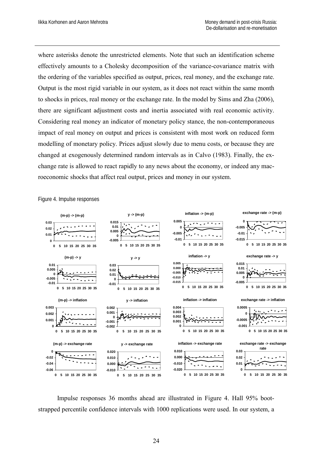where asterisks denote the unrestricted elements. Note that such an identification scheme effectively amounts to a Cholesky decomposition of the variance-covariance matrix with the ordering of the variables specified as output, prices, real money, and the exchange rate. Output is the most rigid variable in our system, as it does not react within the same month to shocks in prices, real money or the exchange rate. In the model by Sims and Zha (2006), there are significant adjustment costs and inertia associated with real economic activity. Considering real money an indicator of monetary policy stance, the non-contemporaneous impact of real money on output and prices is consistent with most work on reduced form modelling of monetary policy. Prices adjust slowly due to menu costs, or because they are changed at exogenously determined random intervals as in Calvo (1983). Finally, the exchange rate is allowed to react rapidly to any news about the economy, or indeed any macroeconomic shocks that affect real output, prices and money in our system.

Figure 4. Impulse responses



Impulse responses 36 months ahead are illustrated in Figure 4. Hall 95% bootstrapped percentile confidence intervals with 1000 replications were used. In our system, a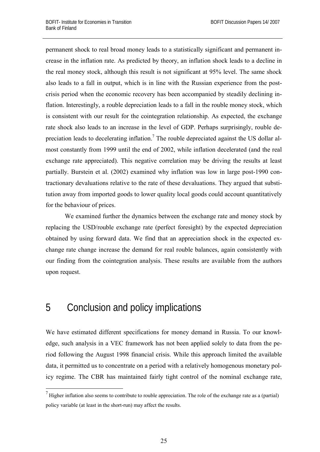permanent shock to real broad money leads to a statistically significant and permanent increase in the inflation rate. As predicted by theory, an inflation shock leads to a decline in the real money stock, although this result is not significant at 95% level. The same shock also leads to a fall in output, which is in line with the Russian experience from the postcrisis period when the economic recovery has been accompanied by steadily declining inflation. Interestingly, a rouble depreciation leads to a fall in the rouble money stock, which is consistent with our result for the cointegration relationship. As expected, the exchange rate shock also leads to an increase in the level of GDP. Perhaps surprisingly, rouble depreciation leads to decelerating inflation.<sup>7</sup> The rouble depreciated against the US dollar almost constantly from 1999 until the end of 2002, while inflation decelerated (and the real exchange rate appreciated). This negative correlation may be driving the results at least partially. Burstein et al. (2002) examined why inflation was low in large post-1990 contractionary devaluations relative to the rate of these devaluations. They argued that substitution away from imported goods to lower quality local goods could account quantitatively for the behaviour of prices.

We examined further the dynamics between the exchange rate and money stock by replacing the USD/rouble exchange rate (perfect foresight) by the expected depreciation obtained by using forward data. We find that an appreciation shock in the expected exchange rate change increase the demand for real rouble balances, again consistently with our finding from the cointegration analysis. These results are available from the authors upon request.

## 5 Conclusion and policy implications

1

We have estimated different specifications for money demand in Russia. To our knowledge, such analysis in a VEC framework has not been applied solely to data from the period following the August 1998 financial crisis. While this approach limited the available data, it permitted us to concentrate on a period with a relatively homogenous monetary policy regime. The CBR has maintained fairly tight control of the nominal exchange rate,

 $<sup>7</sup>$  Higher inflation also seems to contribute to rouble appreciation. The role of the exchange rate as a (partial)</sup> policy variable (at least in the short-run) may affect the results.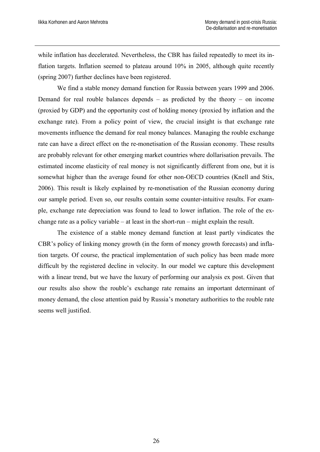while inflation has decelerated. Nevertheless, the CBR has failed repeatedly to meet its inflation targets. Inflation seemed to plateau around 10% in 2005, although quite recently (spring 2007) further declines have been registered.

We find a stable money demand function for Russia between years 1999 and 2006. Demand for real rouble balances depends – as predicted by the theory – on income (proxied by GDP) and the opportunity cost of holding money (proxied by inflation and the exchange rate). From a policy point of view, the crucial insight is that exchange rate movements influence the demand for real money balances. Managing the rouble exchange rate can have a direct effect on the re-monetisation of the Russian economy. These results are probably relevant for other emerging market countries where dollarisation prevails. The estimated income elasticity of real money is not significantly different from one, but it is somewhat higher than the average found for other non-OECD countries (Knell and Stix, 2006). This result is likely explained by re-monetisation of the Russian economy during our sample period. Even so, our results contain some counter-intuitive results. For example, exchange rate depreciation was found to lead to lower inflation. The role of the exchange rate as a policy variable – at least in the short-run – might explain the result.

The existence of a stable money demand function at least partly vindicates the CBR's policy of linking money growth (in the form of money growth forecasts) and inflation targets. Of course, the practical implementation of such policy has been made more difficult by the registered decline in velocity. In our model we capture this development with a linear trend, but we have the luxury of performing our analysis ex post. Given that our results also show the rouble's exchange rate remains an important determinant of money demand, the close attention paid by Russia's monetary authorities to the rouble rate seems well justified.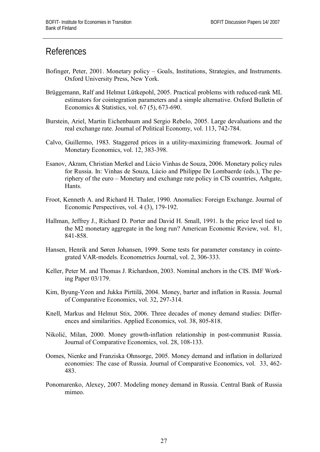#### References

- Bofinger, Peter, 2001. Monetary policy Goals, Institutions, Strategies, and Instruments. Oxford University Press, New York.
- Brüggemann, Ralf and Helmut Lütkepohl, 2005. Practical problems with reduced-rank ML estimators for cointegration parameters and a simple alternative. Oxford Bulletin of Economics & Statistics, vol. 67 (5), 673-690.
- Burstein, Ariel, Martin Eichenbaum and Sergio Rebelo, 2005. Large devaluations and the real exchange rate. Journal of Political Economy, vol. 113, 742-784.
- Calvo, Guillermo, 1983. Staggered prices in a utility-maximizing framework. Journal of Monetary Economics, vol. 12, 383-398.
- Esanov, Akram, Christian Merkel and Lúcio Vinhas de Souza, 2006. Monetary policy rules for Russia. In: Vinhas de Souza, Lúcio and Philippe De Lombaerde (eds.), The periphery of the euro – Monetary and exchange rate policy in CIS countries, Ashgate, Hants.
- Froot, Kenneth A. and Richard H. Thaler, 1990. Anomalies: Foreign Exchange. Journal of Economic Perspectives, vol. 4 (3), 179-192.
- Hallman, Jeffrey J., Richard D. Porter and David H. Small, 1991. Is the price level tied to the M2 monetary aggregate in the long run? American Economic Review, vol. 81, 841-858.
- Hansen, Henrik and Søren Johansen, 1999. Some tests for parameter constancy in cointegrated VAR-models. Econometrics Journal, vol. 2, 306-333.
- Keller, Peter M. and Thomas J. Richardson, 2003. Nominal anchors in the CIS. IMF Working Paper 03/179.
- Kim, Byung-Yeon and Jukka Pirttilä, 2004. Money, barter and inflation in Russia. Journal of Comparative Economics, vol. 32, 297-314.
- Knell, Markus and Helmut Stix, 2006. Three decades of money demand studies: Differences and similarities. Applied Economics, vol. 38, 805-818.
- Nikolić, Milan, 2000. Money growth-inflation relationship in post-communist Russia. Journal of Comparative Economics, vol. 28, 108-133.
- Oomes, Nienke and Franziska Ohnsorge, 2005. Money demand and inflation in dollarized economies: The case of Russia. Journal of Comparative Economics, vol. 33, 462- 483.
- Ponomarenko, Alexey, 2007. Modeling money demand in Russia. Central Bank of Russia mimeo.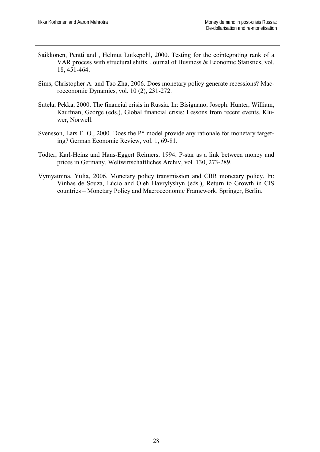- Saikkonen, Pentti and , Helmut Lütkepohl, 2000. Testing for the cointegrating rank of a VAR process with structural shifts. Journal of Business & Economic Statistics, vol. 18, 451-464.
- Sims, Christopher A. and Tao Zha, 2006. Does monetary policy generate recessions? Macroeconomic Dynamics, vol. 10 (2), 231-272.
- Sutela, Pekka, 2000. The financial crisis in Russia. In: Bisignano, Joseph. Hunter, William, Kaufman, George (eds.), Global financial crisis: Lessons from recent events. Kluwer, Norwell.
- Svensson, Lars E. O., 2000. Does the P<sup>\*</sup> model provide any rationale for monetary targeting? German Economic Review, vol. 1, 69-81.
- Tödter, Karl-Heinz and Hans-Eggert Reimers, 1994. P-star as a link between money and prices in Germany. Weltwirtschaftliches Archiv, vol. 130, 273-289.
- Vymyatnina, Yulia, 2006. Monetary policy transmission and CBR monetary policy. In: Vinhas de Souza, Lúcio and Oleh Havrylyshyn (eds.), Return to Growth in CIS countries – Monetary Policy and Macroeconomic Framework. Springer, Berlin.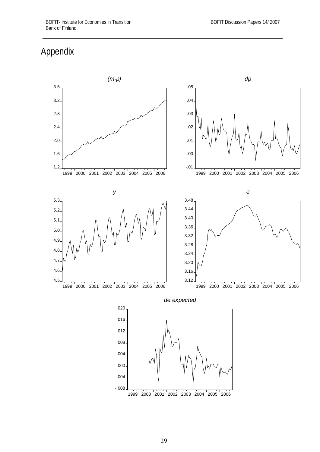#### Appendix

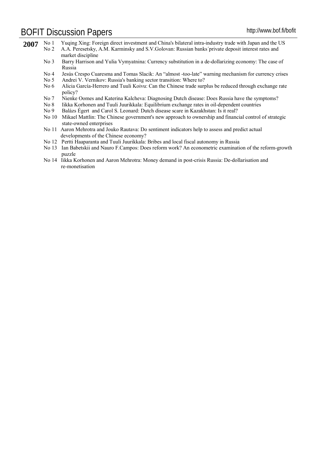# BOFIT Discussion Papers http://www.bof.fi/bofit

| 2007 | No <sub>1</sub> | Yuging Xing: Foreign direct investment and China's bilateral intra-industry trade with Japan and the US                 |
|------|-----------------|-------------------------------------------------------------------------------------------------------------------------|
|      | No 2            | A.A. Peresetsky, A.M. Karminsky and S.V. Golovan: Russian banks private deposit interest rates and<br>market discipline |
|      | No <sub>3</sub> | Barry Harrison and Yulia Vymyatnina: Currency substitution in a de-dollarizing economy: The case of<br>Russia           |
|      | $\rm No~4$      | Jesús Crespo Cuaresma and Tomas Slacik: An "almost -too-late" warning mechanism for currency crises                     |
|      | No <sub>5</sub> | Andrei V. Vernikov: Russia's banking sector transition: Where to?                                                       |
|      | No 6            | Alicia García-Herrero and Tuuli Koivu: Can the Chinese trade surplus be reduced through exchange rate                   |
|      |                 | policy?                                                                                                                 |
|      | No 7            | Nienke Oomes and Katerina Kalcheva: Diagnosing Dutch disease: Does Russia have the symptoms?                            |
|      | No 8            | Iikka Korhonen and Tuuli Juurikkala: Equilibrium exchange rates in oil-dependent countries                              |
|      | No <sub>9</sub> | Balázs Égert and Carol S. Leonard: Dutch disease scare in Kazakhstan: Is it real?                                       |
|      | No $10$         | Mikael Mattlin: The Chinese government's new approach to ownership and financial control of strategic                   |
|      |                 | state-owned enterprises                                                                                                 |
|      | No 11           | Aaron Mehrotra and Jouko Rautava: Do sentiment indicators help to assess and predict actual                             |
|      |                 | developments of the Chinese economy?                                                                                    |
|      |                 | No 12 Pertti Haaparanta and Tuuli Juurikkala: Bribes and local fiscal autonomy in Russia                                |
|      |                 | No 13 Ian Babetskii and Nauro F. Campos: Does reform work? An econometric examination of the reform-growth              |

 puzzle No 14 Iikka Korhonen and Aaron Mehrotra: Money demand in post-crisis Russia: De-dollarisation and re-monetisation